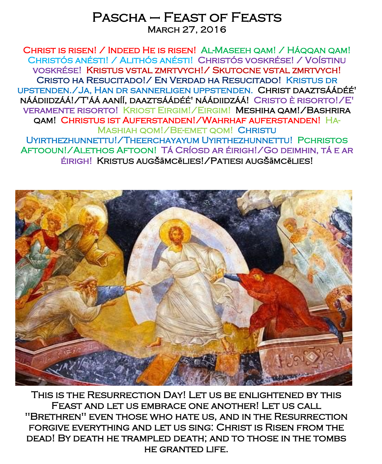# Pascha – Feast of Feasts March 27, 2016

Christ is risen! / Indeed He is risen! Al-Maseeh qam! / Háqqan qam! Christós anésti! / Alithós anésti! Christós voskrése! / Voístinu voskrése! Kristus vstal zmrtvych!/ Skutocne vstal zmrtvych! Cristo ha Resucitado!/ En Verdad ha Resucitado! Kristus dr upstenden./Ja, Han dr sannerligen uppstenden. Christ daaztsáádéé' náádiidzáá!/T'áá aaníí, daaztsáádéé' náádiidzáá! Cristo è risorto!/E' veramente risorto! Kriost Eirgim!/Eirgim! Meshiha qam!/Bashrira qam! Christus ist Auferstanden!/Wahrhaf auferstanden! Ha-Mashiah qom!/Be-emet qom! Christu Uyirthezhunnettu!/Theerchayayum Uyirthezhunnettu! Pchristos Aftooun!/Alethos Aftoon! Tá Críosd ar éirigh!/Go deimhin, tá e ar éirigh! Kristus augš**ā**mc**ē**lies!/Patiesi augš**ā**mc**ē**lies!



This is the Resurrection Day! Let us be enlightened by this Feast and let us embrace one another! Let us call "Brethren" even those who hate us, and in the Resurrection forgive everything and let us sing: Christ is Risen from the dead! By death he trampled death; and to those in the tombs he granted life.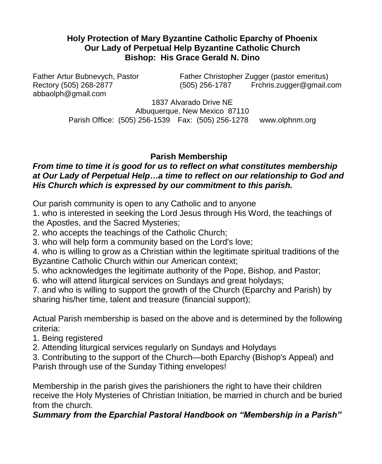#### **Holy Protection of Mary Byzantine Catholic Eparchy of Phoenix Our Lady of Perpetual Help Byzantine Catholic Church Bishop: His Grace Gerald N. Dino**

abbaolph@gmail.com

Father Artur Bubnevych, Pastor Father Christopher Zugger (pastor emeritus) Rectory (505) 268-2877 (505) 256-1787 Frchris.zugger@gmail.com

> 1837 Alvarado Drive NE Albuquerque, New Mexico 87110 Parish Office: (505) 256-1539 Fax: (505) 256-1278 www.olphnm.org

## **Parish Membership**

#### *From time to time it is good for us to reflect on what constitutes membership at Our Lady of Perpetual Help…a time to reflect on our relationship to God and His Church which is expressed by our commitment to this parish.*

Our parish community is open to any Catholic and to anyone

1. who is interested in seeking the Lord Jesus through His Word, the teachings of the Apostles, and the Sacred Mysteries;

2. who accepts the teachings of the Catholic Church;

3. who will help form a community based on the Lord's love;

4. who is willing to grow as a Christian within the legitimate spiritual traditions of the Byzantine Catholic Church within our American context;

5. who acknowledges the legitimate authority of the Pope, Bishop, and Pastor;

6. who will attend liturgical services on Sundays and great holydays;

7. and who is willing to support the growth of the Church (Eparchy and Parish) by sharing his/her time, talent and treasure (financial support);

Actual Parish membership is based on the above and is determined by the following criteria:

1. Being registered

2. Attending liturgical services regularly on Sundays and Holydays

3. Contributing to the support of the Church—both Eparchy (Bishop's Appeal) and Parish through use of the Sunday Tithing envelopes!

Membership in the parish gives the parishioners the right to have their children receive the Holy Mysteries of Christian Initiation, be married in church and be buried from the church.

*Summary from the Eparchial Pastoral Handbook on "Membership in a Parish"*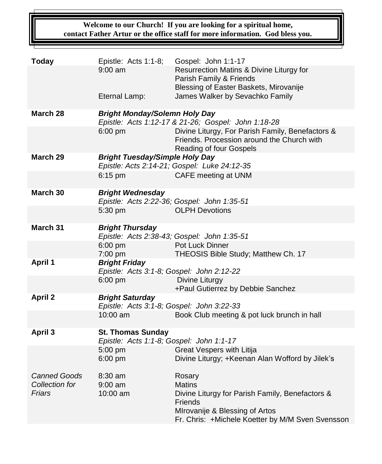**Welcome to our Church! If you are looking for a spiritual home, contact Father Artur or the office staff for more information. God bless you.**

| <b>Today</b>                          | Epistle: Acts 1:1-8;                                                                        | Gospel: John 1:1-17                                                                                                       |  |
|---------------------------------------|---------------------------------------------------------------------------------------------|---------------------------------------------------------------------------------------------------------------------------|--|
|                                       | $9:00$ am                                                                                   | Resurrection Matins & Divine Liturgy for<br>Parish Family & Friends<br>Blessing of Easter Baskets, Mirovanije             |  |
|                                       | Eternal Lamp:                                                                               | James Walker by Sevachko Family                                                                                           |  |
| March 28                              | <b>Bright Monday/Solemn Holy Day</b><br>Epistle: Acts 1:12-17 & 21-26; Gospel: John 1:18-28 |                                                                                                                           |  |
|                                       | $6:00$ pm                                                                                   | Divine Liturgy, For Parish Family, Benefactors &<br>Friends. Procession around the Church with<br>Reading of four Gospels |  |
| March 29                              | <b>Bright Tuesday/Simple Holy Day</b><br>Epistle: Acts 2:14-21; Gospel: Luke 24:12-35       |                                                                                                                           |  |
|                                       | 6:15 pm                                                                                     | CAFE meeting at UNM                                                                                                       |  |
| March 30                              | <b>Bright Wednesday</b><br>Epistle: Acts 2:22-36; Gospel: John 1:35-51                      |                                                                                                                           |  |
|                                       | 5:30 pm                                                                                     | <b>OLPH Devotions</b>                                                                                                     |  |
| March 31                              | <b>Bright Thursday</b>                                                                      | Epistle: Acts 2:38-43; Gospel: John 1:35-51                                                                               |  |
|                                       | $6:00$ pm<br>7:00 pm                                                                        | Pot Luck Dinner<br>THEOSIS Bible Study; Matthew Ch. 17                                                                    |  |
| <b>April 1</b>                        | <b>Bright Friday</b><br>Epistle: Acts 3:1-8; Gospel: John 2:12-22                           |                                                                                                                           |  |
|                                       | $6:00$ pm                                                                                   | Divine Liturgy<br>+Paul Gutierrez by Debbie Sanchez                                                                       |  |
| <b>April 2</b>                        | <b>Bright Saturday</b><br>Epistle: Acts 3:1-8; Gospel: John 3:22-33                         |                                                                                                                           |  |
|                                       | 10:00 am                                                                                    | Book Club meeting & pot luck brunch in hall                                                                               |  |
| April 3                               | <b>St. Thomas Sunday</b><br>Epistle: Acts 1:1-8; Gospel: John 1:1-17                        |                                                                                                                           |  |
|                                       | 5:00 pm<br>6:00 pm                                                                          | Great Vespers with Litija<br>Divine Liturgy; +Keenan Alan Wofford by Jilek's                                              |  |
| <b>Canned Goods</b><br>Collection for | 8:30 am<br>$9:00$ am                                                                        | Rosary<br><b>Matins</b>                                                                                                   |  |
| Friars                                | 10:00 am                                                                                    | Divine Liturgy for Parish Family, Benefactors &<br>Friends<br>MIrovanije & Blessing of Artos                              |  |
|                                       |                                                                                             | Fr. Chris: +Michele Koetter by M/M Sven Svensson                                                                          |  |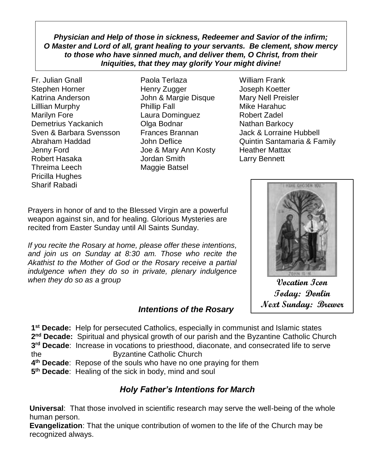*Physician and Help of those in sickness, Redeemer and Savior of the infirm; O Master and Lord of all, grant healing to your servants. Be clement, show mercy to those who have sinned much, and deliver them, O Christ, from their Iniquities, that they may glorify Your might divine!*

- Fr. Julian Gnall Paola Terlaza William Frank Stephen Horner Henry Zugger Joseph Koetter Katrina Anderson **John & Margie Disque** Mary Nell Preisler Lilllian Murphy **Phillip Fall** Mike Harahuc Marilyn Fore **Laura Dominguez** Robert Zadel Demetrius Yackanich **Olga Bodnar** Nathan Barkocy Sven & Barbara Svensson Frances Brannan Jack & Lorraine Hubbell Jenny Ford Joe & Mary Ann Kosty Heather Mattax Robert Hasaka Jordan Smith Larry Bennett Threima Leech Maggie Batsel Pricilla Hughes Sharif Rabadi
- 
- Abraham Haddad John Deflice Quintin Santamaria & Family

Prayers in honor of and to the Blessed Virgin are a powerful weapon against sin, and for healing. Glorious Mysteries are recited from Easter Sunday until All Saints Sunday.

*If you recite the Rosary at home, please offer these intentions, and join us on Sunday at 8:30 am. Those who recite the Akathist to the Mother of God or the Rosary receive a partial indulgence when they do so in private, plenary indulgence when they do so as a group*  $\overline{V}$ 

# **FAXO GHOSEN YOU**

**Today: Donlin Next Sunday: Brewer**

# *Intentions of the Rosary*

**1 st Decade:** Help for persecuted Catholics, especially in communist and Islamic states 2<sup>nd</sup> Decade: Spiritual and physical growth of our parish and the Byzantine Catholic Church **3 rd Decade**: Increase in vocations to priesthood, diaconate, and consecrated life to serve the Byzantine Catholic Church **4 th Decade**: Repose of the souls who have no one praying for them

**5 th Decade**: Healing of the sick in body, mind and soul

# *Holy Father's Intentions for March*

**Universal**: That those involved in scientific research may serve the well-being of the whole human person.

**Evangelization**: That the unique contribution of women to the life of the Church may be recognized always.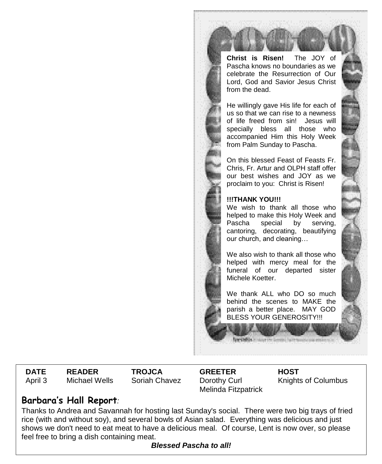**Christ is Risen!** The JOY of Pascha knows no boundaries as we celebrate the Resurrection of Our Lord, God and Savior Jesus Christ from the dead.

He willingly gave His life for each of us so that we can rise to a newness of life freed from sin! Jesus will specially bless all those who accompanied Him this Holy Week from Palm Sunday to Pascha.

On this blessed Feast of Feasts Fr. Chris, Fr. Artur and OLPH staff offer our best wishes and JOY as we proclaim to you: Christ is Risen!

#### **!!!THANK YOU!!!**

We wish to thank all those who helped to make this Holy Week and Pascha special by serving, cantoring, decorating, beautifying our church, and cleaning…

We also wish to thank all those who helped with mercy meal for the funeral of our departed sister Michele Koetter.

We thank ALL who DO so much behind the scenes to MAKE the parish a better place. MAY GOD BLESS YOUR GENEROSITY!!!

**DATE READER TROJCA GREETER HOST** April 3 Michael Wells Soriah Chavez Dorothy Curl

Melinda Fitzpatrick

Knights of Columbus

## **Barbara's Hall Report***:*

Thanks to Andrea and Savannah for hosting last Sunday's social. There were two big trays of fried rice (with and without soy), and several bowls of Asian salad. Everything was delicious and just shows we don't need to eat meat to have a delicious meal. Of course, Lent is now over, so please feel free to bring a dish containing meat.

*Blessed Pascha to all!*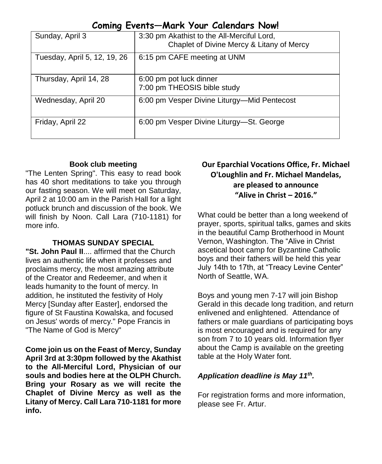|  | Coming Events-Mark Your Calendars Now! |  |  |  |
|--|----------------------------------------|--|--|--|
|--|----------------------------------------|--|--|--|

| Sunday, April 3              | 3:30 pm Akathist to the All-Merciful Lord,<br>Chaplet of Divine Mercy & Litany of Mercy |
|------------------------------|-----------------------------------------------------------------------------------------|
| Tuesday, April 5, 12, 19, 26 | 6:15 pm CAFE meeting at UNM                                                             |
| Thursday, April 14, 28       | 6:00 pm pot luck dinner<br>7:00 pm THEOSIS bible study                                  |
| Wednesday, April 20          | 6:00 pm Vesper Divine Liturgy—Mid Pentecost                                             |
| Friday, April 22             | 6:00 pm Vesper Divine Liturgy-St. George                                                |

#### **Book club meeting**

"The Lenten Spring". This easy to read book has 40 short meditations to take you through our fasting season. We will meet on Saturday, April 2 at 10:00 am in the Parish Hall for a light potluck brunch and discussion of the book. We will finish by Noon. Call Lara (710-1181) for more info.

#### **THOMAS SUNDAY SPECIAL**

**"St. John Paul II**.... affirmed that the Church lives an authentic life when it professes and proclaims mercy, the most amazing attribute of the Creator and Redeemer, and when it leads humanity to the fount of mercy. In addition, he instituted the festivity of Holy Mercy [Sunday after Easter], endorsed the figure of St Faustina Kowalska, and focused on Jesus' words of mercy." Pope Francis in "The Name of God is Mercy"

**Come join us on the Feast of Mercy, Sunday April 3rd at 3:30pm followed by the Akathist to the All-Merciful Lord, Physician of our souls and bodies here at the OLPH Church. Bring your Rosary as we will recite the Chaplet of Divine Mercy as well as the Litany of Mercy. Call Lara 710-1181 for more info.**

#### **Our Eparchial Vocations Office, Fr. Michael O'Loughlin and Fr. Michael Mandelas, are pleased to announce "Alive in Christ – 2016."**

What could be better than a long weekend of prayer, sports, spiritual talks, games and skits in the beautiful Camp Brotherhood in Mount Vernon, Washington. The "Alive in Christ ascetical boot camp for Byzantine Catholic boys and their fathers will be held this year July 14th to 17th, at "Treacy Levine Center" North of Seattle, WA.

Boys and young men 7-17 will join Bishop Gerald in this decade long tradition, and return enlivened and enlightened. Attendance of fathers or male guardians of participating boys is most encouraged and is required for any son from 7 to 10 years old. Information flyer about the Camp is available on the greeting table at the Holy Water font.

#### *Application deadline is May 11th .*

For registration forms and more information, please see Fr. Artur.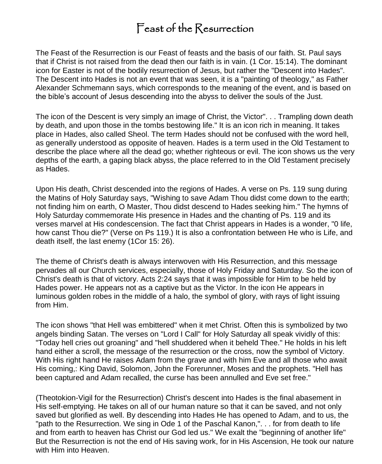# Feast of the Resurrection

The Feast of the Resurrection is our Feast of feasts and the basis of our faith. St. Paul says that if Christ is not raised from the dead then our faith is in vain. (1 Cor. 15:14). The dominant icon for Easter is not of the bodily resurrection of Jesus, but rather the "Descent into Hades". The Descent into Hades is not an event that was seen, it is a "painting of theology," as Father Alexander Schmemann says, which corresponds to the meaning of the event, and is based on the bible's account of Jesus descending into the abyss to deliver the souls of the Just.

The icon of the Descent is very simply an image of Christ, the Victor". . . Trampling down death by death, and upon those in the tombs bestowing life." It is an icon rich in meaning. It takes place in Hades, also called Sheol. The term Hades should not be confused with the word hell, as generally understood as opposite of heaven. Hades is a term used in the Old Testament to describe the place where all the dead go; whether righteous or evil. The icon shows us the very depths of the earth, a gaping black abyss, the place referred to in the Old Testament precisely as Hades.

Upon His death, Christ descended into the regions of Hades. A verse on Ps. 119 sung during the Matins of Holy Saturday says, "Wishing to save Adam Thou didst come down to the earth; not finding him on earth, O Master, Thou didst descend to Hades seeking him." The hymns of Holy Saturday commemorate His presence in Hades and the chanting of Ps. 119 and its verses marvel at His condescension. The fact that Christ appears in Hades is a wonder, "0 life, how canst Thou die?" (Verse on Ps 119.) It is also a confrontation between He who is Life, and death itself, the last enemy (1Cor 15: 26).

The theme of Christ's death is always interwoven with His Resurrection, and this message pervades all our Church services, especially, those of Holy Friday and Saturday. So the icon of Christ's death is that of victory. Acts 2:24 says that it was impossible for Him to be held by Hades power. He appears not as a captive but as the Victor. In the icon He appears in luminous golden robes in the middle of a halo, the symbol of glory, with rays of light issuing from Him.

The icon shows "that Hell was embittered" when it met Christ. Often this is symbolized by two angels binding Satan. The verses on "Lord I Call" for Holy Saturday all speak vividly of this: "Today hell cries out groaning" and "hell shuddered when it beheld Thee." He holds in his left hand either a scroll, the message of the resurrection or the cross, now the symbol of Victory. With His right hand He raises Adam from the grave and with him Eve and all those who await His coming,: King David, Solomon, John the Forerunner, Moses and the prophets. "Hell has been captured and Adam recalled, the curse has been annulled and Eve set free."

(Theotokion-Vigil for the Resurrection) Christ's descent into Hades is the final abasement in His self-emptying. He takes on all of our human nature so that it can be saved, and not only saved but glorified as well. By descending into Hades He has opened to Adam, and to us, the "path to the Resurrection. We sing in Ode 1 of the Paschal Kanon,". . . for from death to life and from earth to heaven has Christ our God led us." We exalt the "beginning of another life" But the Resurrection is not the end of His saving work, for in His Ascension, He took our nature with Him into Heaven.